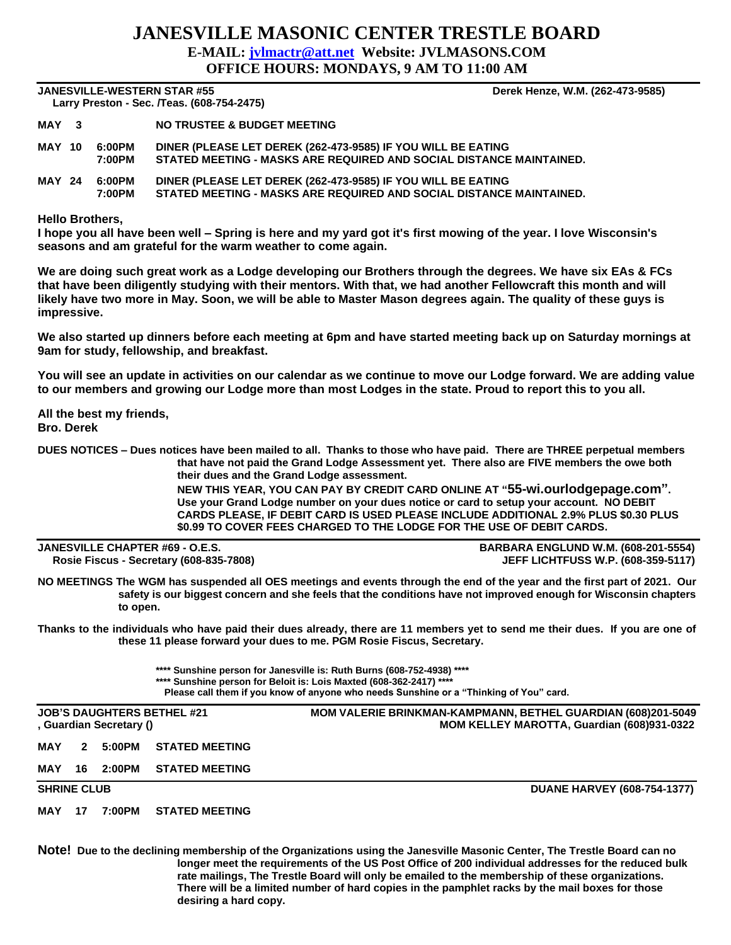## **JANESVILLE MASONIC CENTER TRESTLE BOARD E-MAIL: [jvlmactr@att.net](mailto:jvlmactr@att.net) Website: JVLMASONS.COM OFFICE HOURS: MONDAYS, 9 AM TO 11:00 AM**

**JANESVILLE-WESTERN STAR #55 Derek Henze, W.M. (262-473-9585) Larry Preston - Sec. /Teas. (608-754-2475)** 

|               | Larry Preston - Sec. / I eas. (608-734-2475) |                  |                                                                                                                                     |  |  |  |  |  |  |
|---------------|----------------------------------------------|------------------|-------------------------------------------------------------------------------------------------------------------------------------|--|--|--|--|--|--|
| MAY 3         |                                              |                  | NO TRUSTEE & BUDGET MEETING                                                                                                         |  |  |  |  |  |  |
| <b>MAY 10</b> |                                              | 6:00PM<br>7:00PM | DINER (PLEASE LET DEREK (262-473-9585) IF YOU WILL BE EATING<br>STATED MEETING - MASKS ARE REQUIRED AND SOCIAL DISTANCE MAINTAINED. |  |  |  |  |  |  |
| <b>MAY 24</b> |                                              | 6:00PM<br>7:00PM | DINER (PLEASE LET DEREK (262-473-9585) IF YOU WILL BE EATING<br>STATED MEETING - MASKS ARE REQUIRED AND SOCIAL DISTANCE MAINTAINED. |  |  |  |  |  |  |

**Hello Brothers,**

**I hope you all have been well – Spring is here and my yard got it's first mowing of the year. I love Wisconsin's seasons and am grateful for the warm weather to come again.**

**We are doing such great work as a Lodge developing our Brothers through the degrees. We have six EAs & FCs that have been diligently studying with their mentors. With that, we had another Fellowcraft this month and will likely have two more in May. Soon, we will be able to Master Mason degrees again. The quality of these guys is impressive.**

**We also started up dinners before each meeting at 6pm and have started meeting back up on Saturday mornings at 9am for study, fellowship, and breakfast.**

**You will see an update in activities on our calendar as we continue to move our Lodge forward. We are adding value to our members and growing our Lodge more than most Lodges in the state. Proud to report this to you all.**

**All the best my friends, Bro. Derek**

**DUES NOTICES – Dues notices have been mailed to all. Thanks to those who have paid. There are THREE perpetual members that have not paid the Grand Lodge Assessment yet. There also are FIVE members the owe both their dues and the Grand Lodge assessment.** 

**NEW THIS YEAR, YOU CAN PAY BY CREDIT CARD ONLINE AT "55-wi.ourlodgepage.com". Use your Grand Lodge number on your dues notice or card to setup your account. NO DEBIT CARDS PLEASE, IF DEBIT CARD IS USED PLEASE INCLUDE ADDITIONAL 2.9% PLUS \$0.30 PLUS \$0.99 TO COVER FEES CHARGED TO THE LODGE FOR THE USE OF DEBIT CARDS.**

| JANESVILLE CHAPTER #69 - O.E.S.         |  |  |  |  |  |  |
|-----------------------------------------|--|--|--|--|--|--|
| Rosie Fiscus - Secretary (608-835-7808) |  |  |  |  |  |  |

**JANESVILLE CHAPTER #69 - O.E.S. BARBARA ENGLUND W.M. (608-201-5554) Rosie Fiscus - Secretary (608-835-7808) JEFF LICHTFUSS W.P. (608-359-5117)**

**NO MEETINGS The WGM has suspended all OES meetings and events through the end of the year and the first part of 2021. Our safety is our biggest concern and she feels that the conditions have not improved enough for Wisconsin chapters to open.** 

**Thanks to the individuals who have paid their dues already, there are 11 members yet to send me their dues. If you are one of these 11 please forward your dues to me. PGM Rosie Fiscus, Secretary.**

> **\*\*\*\* Sunshine person for Janesville is: Ruth Burns (608-752-4938) \*\*\*\* \*\*\*\* Sunshine person for Beloit is: Lois Maxted (608-362-2417) \*\*\*\***

**Please call them if you know of anyone who needs Sunshine or a "Thinking of You" card.**

| <b>JOB'S DAUGHTERS BETHEL #21</b><br>, Guardian Secretary () |              |        |                       | <b>MOM VALERIE BRINKMAN-KAMPMANN, BETHEL GUARDIAN (608)201-5049</b><br>MOM KELLEY MAROTTA, Guardian (608)931-0322 |  |  |
|--------------------------------------------------------------|--------------|--------|-----------------------|-------------------------------------------------------------------------------------------------------------------|--|--|
| MAY                                                          | $\mathbf{P}$ | 5:00PM | <b>STATED MEETING</b> |                                                                                                                   |  |  |
| MAY                                                          | 16.          | 2:00PM | <b>STATED MEETING</b> |                                                                                                                   |  |  |
| <b>SHRINE CLUB</b>                                           |              |        |                       | <b>DUANE HARVEY (608-754-1377)</b>                                                                                |  |  |
| MAY                                                          | 17           | 7:00PM | <b>STATED MEETING</b> |                                                                                                                   |  |  |

**Note! Due to the declining membership of the Organizations using the Janesville Masonic Center, The Trestle Board can no longer meet the requirements of the US Post Office of 200 individual addresses for the reduced bulk rate mailings, The Trestle Board will only be emailed to the membership of these organizations. There will be a limited number of hard copies in the pamphlet racks by the mail boxes for those desiring a hard copy.**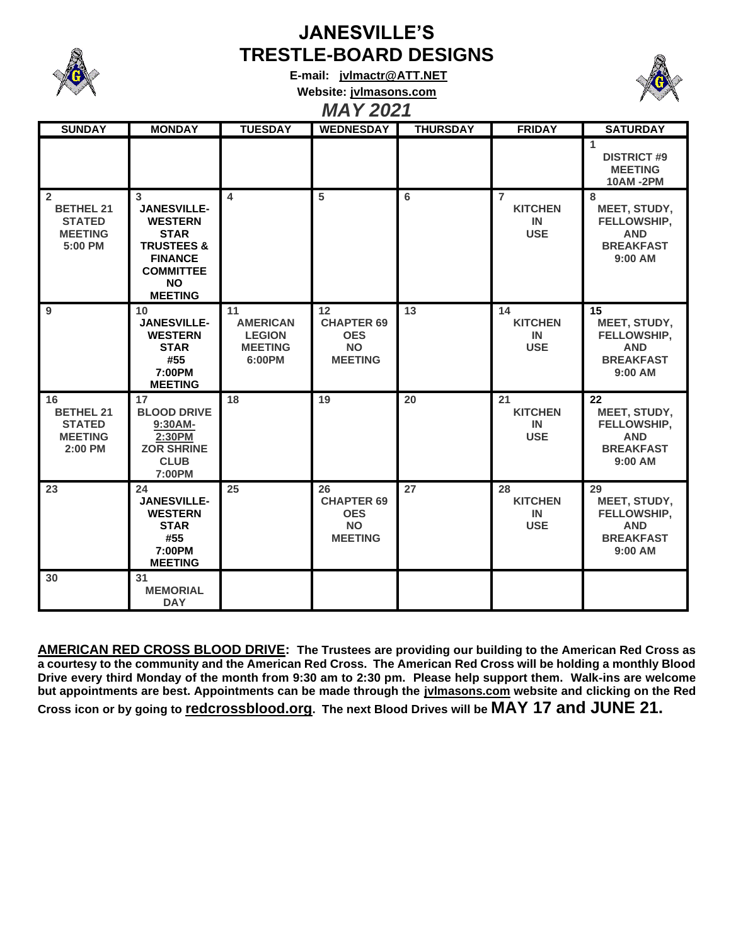

## **JANESVILLE'S TRESTLE-BOARD DESIGNS**

**E-mail: [jvlmactr@ATT.NET](mailto:jvlmactr@ATT.NET) Website: jvlmasons.com**



*MAY 2021*

| <b>SUNDAY</b>                                                                    | <b>MONDAY</b>                                                                                                                                          | <b>TUESDAY</b>                                                     | <b>WEDNESDAY</b>                                                     | <b>THURSDAY</b> | <b>FRIDAY</b>                                        | <b>SATURDAY</b>                                                                 |
|----------------------------------------------------------------------------------|--------------------------------------------------------------------------------------------------------------------------------------------------------|--------------------------------------------------------------------|----------------------------------------------------------------------|-----------------|------------------------------------------------------|---------------------------------------------------------------------------------|
|                                                                                  |                                                                                                                                                        |                                                                    |                                                                      |                 |                                                      | $\blacktriangleleft$<br><b>DISTRICT #9</b><br><b>MEETING</b><br><b>10AM-2PM</b> |
| $\overline{2}$<br><b>BETHEL 21</b><br><b>STATED</b><br><b>MEETING</b><br>5:00 PM | 3<br><b>JANESVILLE-</b><br><b>WESTERN</b><br><b>STAR</b><br><b>TRUSTEES &amp;</b><br><b>FINANCE</b><br><b>COMMITTEE</b><br><b>NO</b><br><b>MEETING</b> | $\overline{\mathbf{4}}$                                            | 5                                                                    | 6               | $\overline{7}$<br><b>KITCHEN</b><br>IN<br><b>USE</b> | 8<br>MEET, STUDY,<br>FELLOWSHIP,<br><b>AND</b><br><b>BREAKFAST</b><br>9:00 AM   |
| 9                                                                                | 10<br><b>JANESVILLE-</b><br><b>WESTERN</b><br><b>STAR</b><br>#55<br>7:00PM<br><b>MEETING</b>                                                           | 11<br><b>AMERICAN</b><br><b>LEGION</b><br><b>MEETING</b><br>6:00PM | 12<br><b>CHAPTER 69</b><br><b>OES</b><br><b>NO</b><br><b>MEETING</b> | $\overline{13}$ | 14<br><b>KITCHEN</b><br>IN<br><b>USE</b>             | 15<br>MEET, STUDY,<br>FELLOWSHIP,<br><b>AND</b><br><b>BREAKFAST</b><br>9:00 AM  |
| 16<br><b>BETHEL 21</b><br><b>STATED</b><br><b>MEETING</b><br>2:00 PM             | 17<br><b>BLOOD DRIVE</b><br>9:30AM-<br>2:30PM<br><b>ZOR SHRINE</b><br><b>CLUB</b><br>7:00PM                                                            | 18                                                                 | 19                                                                   | 20              | 21<br><b>KITCHEN</b><br>IN<br><b>USE</b>             | 22<br>MEET, STUDY,<br>FELLOWSHIP,<br><b>AND</b><br><b>BREAKFAST</b><br>9:00 AM  |
| 23                                                                               | 24<br><b>JANESVILLE-</b><br><b>WESTERN</b><br><b>STAR</b><br>#55<br>7:00PM<br><b>MEETING</b>                                                           | 25                                                                 | 26<br><b>CHAPTER 69</b><br><b>OES</b><br><b>NO</b><br><b>MEETING</b> | 27              | 28<br><b>KITCHEN</b><br>IN<br><b>USE</b>             | 29<br>MEET, STUDY,<br>FELLOWSHIP,<br><b>AND</b><br><b>BREAKFAST</b><br>9:00 AM  |
| 30                                                                               | 31<br><b>MEMORIAL</b><br><b>DAY</b>                                                                                                                    |                                                                    |                                                                      |                 |                                                      |                                                                                 |

**AMERICAN RED CROSS BLOOD DRIVE: The Trustees are providing our building to the American Red Cross as a courtesy to the community and the American Red Cross. The American Red Cross will be holding a monthly Blood Drive every third Monday of the month from 9:30 am to 2:30 pm. Please help support them. Walk-ins are welcome but appointments are best. Appointments can be made through the jvlmasons.com website and clicking on the Red Cross icon or by going to redcrossblood.org. The next Blood Drives will be MAY 17 and JUNE 21.**